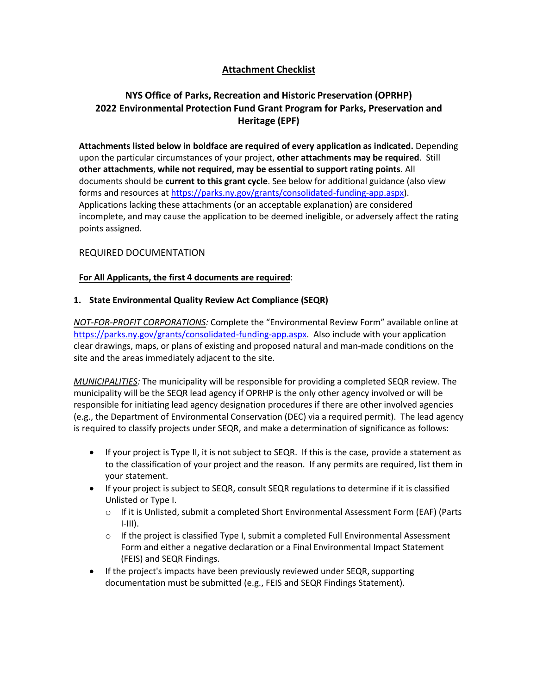# **Attachment Checklist**

# **NYS Office of Parks, Recreation and Historic Preservation (OPRHP) 2022 Environmental Protection Fund Grant Program for Parks, Preservation and Heritage (EPF)**

**Attachments listed below in boldface are required of every application as indicated.** Depending upon the particular circumstances of your project, **other attachments may be required**. Still **other attachments**, **while not required, may be essential to support rating points**. All documents should be **current to this grant cycle**. See below for additional guidance (also view forms and resources at [https://parks.ny.gov/grants/consolidated-funding-app.aspx\)](https://parks.ny.gov/grants/consolidated-funding-app.aspx). Applications lacking these attachments (or an acceptable explanation) are considered incomplete, and may cause the application to be deemed ineligible, or adversely affect the rating points assigned.

## REQUIRED DOCUMENTATION

## **For All Applicants, the first 4 documents are required**:

## **1. State Environmental Quality Review Act Compliance (SEQR)**

*NOT-FOR-PROFIT CORPORATIONS:* Complete the "Environmental Review Form" available online at [https://parks.ny.gov/grants/consolidated-funding-app.aspx.](https://parks.ny.gov/grants/consolidated-funding-app.aspx) Also include with your application clear drawings, maps, or plans of existing and proposed natural and man-made conditions on the site and the areas immediately adjacent to the site.

*MUNICIPALITIES:* The municipality will be responsible for providing a completed SEQR review. The municipality will be the SEQR lead agency if OPRHP is the only other agency involved or will be responsible for initiating lead agency designation procedures if there are other involved agencies (e.g., the Department of Environmental Conservation (DEC) via a required permit). The lead agency is required to classify projects under SEQR, and make a determination of significance as follows:

- If your project is Type II, it is not subject to SEQR. If this is the case, provide a statement as to the classification of your project and the reason. If any permits are required, list them in your statement.
- If your project is subject to SEQR, consult SEQR regulations to determine if it is classified Unlisted or Type I.
	- o If it is Unlisted, submit a completed Short Environmental Assessment Form (EAF) (Parts  $I-III$ ).
	- $\circ$  If the project is classified Type I, submit a completed Full Environmental Assessment Form and either a negative declaration or a Final Environmental Impact Statement (FEIS) and SEQR Findings.
- If the project's impacts have been previously reviewed under SEQR, supporting documentation must be submitted (e.g., FEIS and SEQR Findings Statement).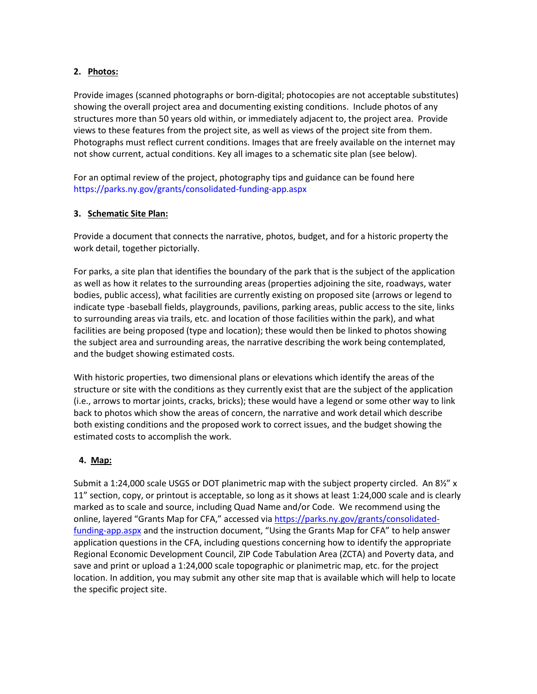## **2. Photos:**

Provide images (scanned photographs or born-digital; photocopies are not acceptable substitutes) showing the overall project area and documenting existing conditions. Include photos of any structures more than 50 years old within, or immediately adjacent to, the project area. Provide views to these features from the project site, as well as views of the project site from them. Photographs must reflect current conditions. Images that are freely available on the internet may not show current, actual conditions. Key all images to a schematic site plan (see below).

For an optimal review of the project, photography tips and guidance can be found here <https://parks.ny.gov/grants/consolidated-funding-app.aspx>

### **3. Schematic Site Plan:**

Provide a document that connects the narrative, photos, budget, and for a historic property the work detail, together pictorially.

For parks, a site plan that identifies the boundary of the park that is the subject of the application as well as how it relates to the surrounding areas (properties adjoining the site, roadways, water bodies, public access), what facilities are currently existing on proposed site (arrows or legend to indicate type -baseball fields, playgrounds, pavilions, parking areas, public access to the site, links to surrounding areas via trails, etc. and location of those facilities within the park), and what facilities are being proposed (type and location); these would then be linked to photos showing the subject area and surrounding areas, the narrative describing the work being contemplated, and the budget showing estimated costs.

With historic properties, two dimensional plans or elevations which identify the areas of the structure or site with the conditions as they currently exist that are the subject of the application (i.e., arrows to mortar joints, cracks, bricks); these would have a legend or some other way to link back to photos which show the areas of concern, the narrative and work detail which describe both existing conditions and the proposed work to correct issues, and the budget showing the estimated costs to accomplish the work.

### **4. Map:**

Submit a 1:24,000 scale USGS or DOT planimetric map with the subject property circled. An 8½" x 11" section, copy, or printout is acceptable, so long as it shows at least 1:24,000 scale and is clearly marked as to scale and source, including Quad Name and/or Code. We recommend using the online, layered "Grants Map for CFA," accessed via [https://parks.ny.gov/grants/consolidated](https://parks.ny.gov/grants/consolidated-funding-app.aspx)[funding-app.aspx](https://parks.ny.gov/grants/consolidated-funding-app.aspx) and the instruction document, "Using the Grants Map for CFA" to help answer application questions in the CFA, including questions concerning how to identify the appropriate Regional Economic Development Council, ZIP Code Tabulation Area (ZCTA) and Poverty data, and save and print or upload a 1:24,000 scale topographic or planimetric map, etc. for the project location. In addition, you may submit any other site map that is available which will help to locate the specific project site.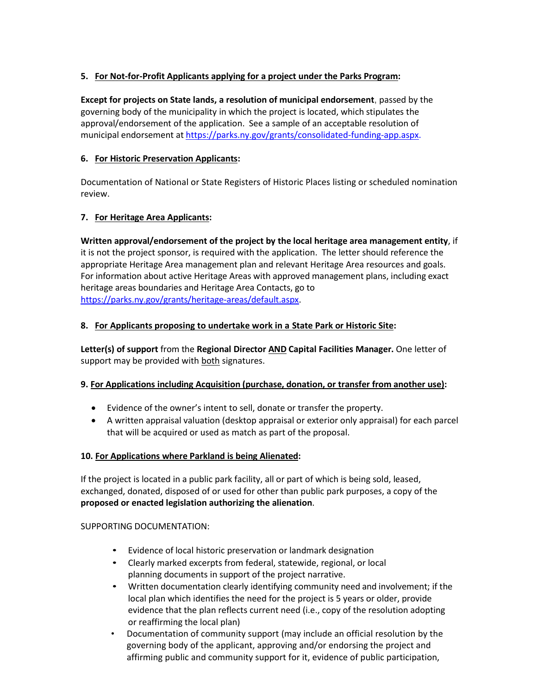## **5. For Not-for-Profit Applicants applying for a project under the Parks Program:**

**Except for projects on State lands, a resolution of municipal endorsement**, passed by the governing body of the municipality in which the project is located, which stipulates the approval/endorsement of the application. See a sample of an acceptable resolution of municipal endorsement at [https://parks.ny.gov/grants/consolidated-funding-app.aspx.](https://parks.ny.gov/grants/consolidated-funding-app.aspx)

## **6. For Historic Preservation Applicants:**

Documentation of National or State Registers of Historic Places listing or scheduled nomination review.

## **7. For Heritage Area Applicants:**

**Written approval/endorsement of the project by the local heritage area management entity**, if it is not the project sponsor, is required with the application. The letter should reference the appropriate Heritage Area management plan and relevant Heritage Area resources and goals. For information about active Heritage Areas with approved management plans, including exact heritage areas boundaries and Heritage Area Contacts, go to [https://parks.ny.gov/grants/heritage-areas/default.aspx.](https://parks.ny.gov/grants/heritage-areas/default.aspx)

## **8. For Applicants proposing to undertake work in a State Park or Historic Site:**

**Letter(s) of support** from the **Regional Director AND Capital Facilities Manager.** One letter of support may be provided with both signatures.

### **9. For Applications including Acquisition (purchase, donation, or transfer from another use):**

- Evidence of the owner's intent to sell, donate or transfer the property.
- A written appraisal valuation (desktop appraisal or exterior only appraisal) for each parcel that will be acquired or used as match as part of the proposal.

### **10. For Applications where Parkland is being Alienated:**

If the project is located in a public park facility, all or part of which is being sold, leased, exchanged, donated, disposed of or used for other than public park purposes, a copy of the **proposed or enacted legislation authorizing the alienation**.

### SUPPORTING DOCUMENTATION:

- Evidence of local historic preservation or landmark designation
- Clearly marked excerpts from federal, statewide, regional, or local planning documents in support of the project narrative.
- Written documentation clearly identifying community need and involvement; if the local plan which identifies the need for the project is 5 years or older, provide evidence that the plan reflects current need (i.e., copy of the resolution adopting or reaffirming the local plan)
- Documentation of community support (may include an official resolution by the governing body of the applicant, approving and/or endorsing the project and affirming public and community support for it, evidence of public participation,